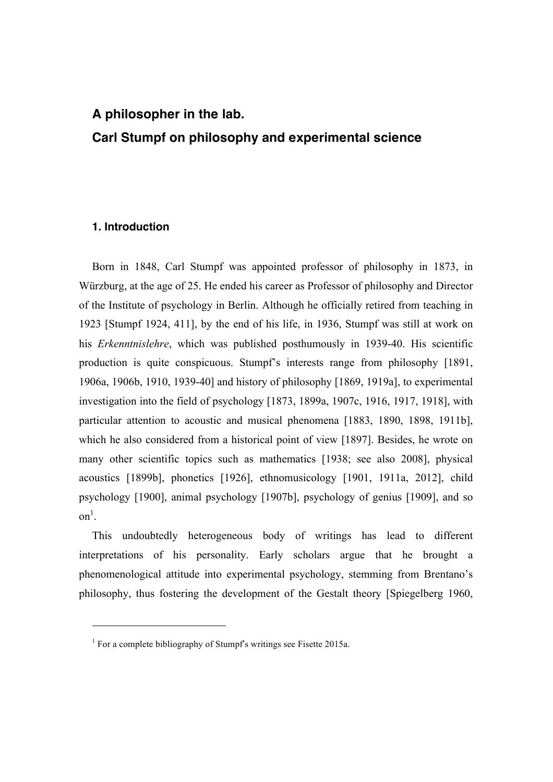## **A philosopher in the lab.**

# **Carl Stumpf on philosophy and experimental science**

## **1. Introduction**

 $\overline{a}$ 

Born in 1848, Carl Stumpf was appointed professor of philosophy in 1873, in Würzburg, at the age of 25. He ended his career as Professor of philosophy and Director of the Institute of psychology in Berlin. Although he officially retired from teaching in 1923 [Stumpf 1924, 411], by the end of his life, in 1936, Stumpf was still at work on his *Erkenntnislehre*, which was published posthumously in 1939-40. His scientific production is quite conspicuous. Stumpf's interests range from philosophy [1891, 1906a, 1906b, 1910, 1939-40] and history of philosophy [1869, 1919a], to experimental investigation into the field of psychology [1873, 1899a, 1907c, 1916, 1917, 1918], with particular attention to acoustic and musical phenomena [1883, 1890, 1898, 1911b], which he also considered from a historical point of view [1897]. Besides, he wrote on many other scientific topics such as mathematics [1938; see also 2008], physical acoustics [1899b], phonetics [1926], ethnomusicology [1901, 1911a, 2012], child psychology [1900], animal psychology [1907b], psychology of genius [1909], and so  $\text{on}^1$ .

This undoubtedly heterogeneous body of writings has lead to different interpretations of his personality. Early scholars argue that he brought a phenomenological attitude into experimental psychology, stemming from Brentano's philosophy, thus fostering the development of the Gestalt theory [Spiegelberg 1960,

 $1$  For a complete bibliography of Stumpf's writings see Fisette 2015a.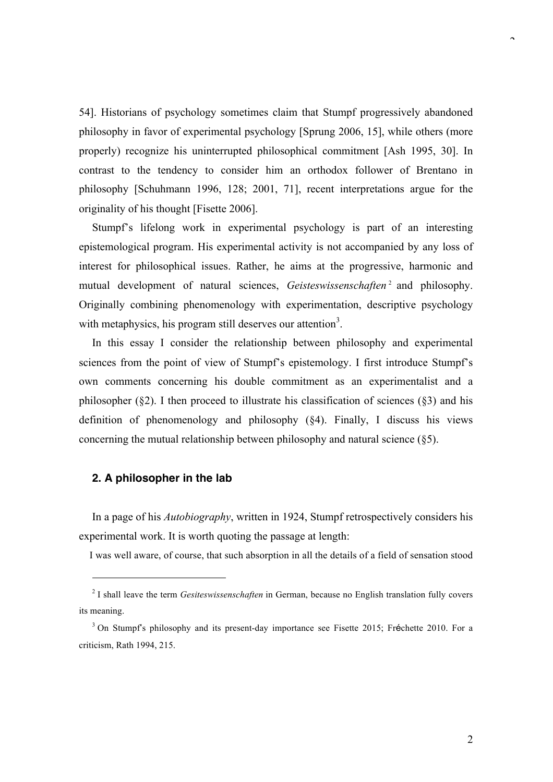54]. Historians of psychology sometimes claim that Stumpf progressively abandoned philosophy in favor of experimental psychology [Sprung 2006, 15], while others (more properly) recognize his uninterrupted philosophical commitment [Ash 1995, 30]. In contrast to the tendency to consider him an orthodox follower of Brentano in philosophy [Schuhmann 1996, 128; 2001, 71], recent interpretations argue for the originality of his thought [Fisette 2006].

Stumpf's lifelong work in experimental psychology is part of an interesting epistemological program. His experimental activity is not accompanied by any loss of interest for philosophical issues. Rather, he aims at the progressive, harmonic and mutual development of natural sciences, *Geisteswissenschaften* <sup>2</sup> and philosophy. Originally combining phenomenology with experimentation, descriptive psychology with metaphysics, his program still deserves our attention<sup>3</sup>.

In this essay I consider the relationship between philosophy and experimental sciences from the point of view of Stumpf's epistemology. I first introduce Stumpf's own comments concerning his double commitment as an experimentalist and a philosopher  $(\S 2)$ . I then proceed to illustrate his classification of sciences  $(\S 3)$  and his definition of phenomenology and philosophy (§4). Finally, I discuss his views concerning the mutual relationship between philosophy and natural science (§5).

## **2. A philosopher in the lab**

 $\overline{a}$ 

In a page of his *Autobiography*, written in 1924, Stumpf retrospectively considers his experimental work. It is worth quoting the passage at length:

I was well aware, of course, that such absorption in all the details of a field of sensation stood

 $\overline{\phantom{0}}$ 

<sup>2</sup> I shall leave the term *Gesiteswissenschaften* in German, because no English translation fully covers its meaning.

<sup>&</sup>lt;sup>3</sup> On Stumpf's philosophy and its present-day importance see Fisette 2015; Fréchette 2010. For a criticism, Rath 1994, 215.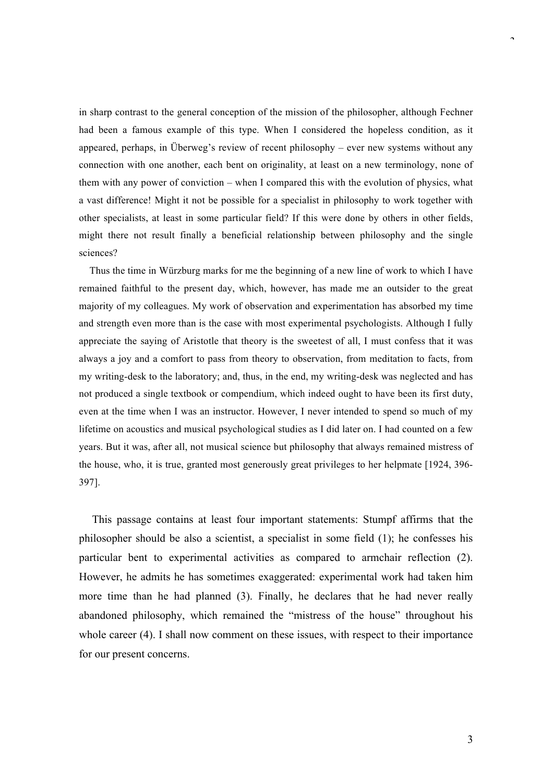in sharp contrast to the general conception of the mission of the philosopher, although Fechner had been a famous example of this type. When I considered the hopeless condition, as it appeared, perhaps, in Überweg's review of recent philosophy – ever new systems without any connection with one another, each bent on originality, at least on a new terminology, none of them with any power of conviction – when I compared this with the evolution of physics, what a vast difference! Might it not be possible for a specialist in philosophy to work together with other specialists, at least in some particular field? If this were done by others in other fields, might there not result finally a beneficial relationship between philosophy and the single sciences?

Thus the time in Würzburg marks for me the beginning of a new line of work to which I have remained faithful to the present day, which, however, has made me an outsider to the great majority of my colleagues. My work of observation and experimentation has absorbed my time and strength even more than is the case with most experimental psychologists. Although I fully appreciate the saying of Aristotle that theory is the sweetest of all, I must confess that it was always a joy and a comfort to pass from theory to observation, from meditation to facts, from my writing-desk to the laboratory; and, thus, in the end, my writing-desk was neglected and has not produced a single textbook or compendium, which indeed ought to have been its first duty, even at the time when I was an instructor. However, I never intended to spend so much of my lifetime on acoustics and musical psychological studies as I did later on. I had counted on a few years. But it was, after all, not musical science but philosophy that always remained mistress of the house, who, it is true, granted most generously great privileges to her helpmate [1924, 396- 397].

This passage contains at least four important statements: Stumpf affirms that the philosopher should be also a scientist, a specialist in some field (1); he confesses his particular bent to experimental activities as compared to armchair reflection (2). However, he admits he has sometimes exaggerated: experimental work had taken him more time than he had planned (3). Finally, he declares that he had never really abandoned philosophy, which remained the "mistress of the house" throughout his whole career (4). I shall now comment on these issues, with respect to their importance for our present concerns.

 $\hat{ }$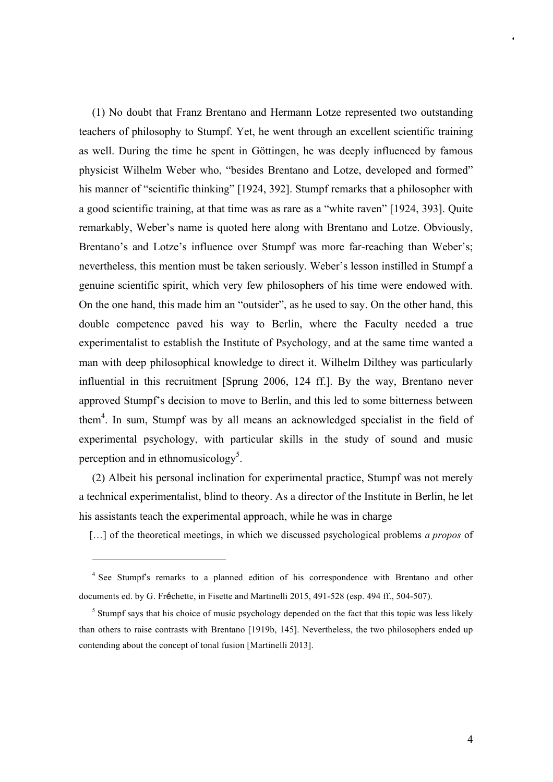(1) No doubt that Franz Brentano and Hermann Lotze represented two outstanding teachers of philosophy to Stumpf. Yet, he went through an excellent scientific training as well. During the time he spent in Göttingen, he was deeply influenced by famous physicist Wilhelm Weber who, "besides Brentano and Lotze, developed and formed" his manner of "scientific thinking" [1924, 392]. Stumpf remarks that a philosopher with a good scientific training, at that time was as rare as a "white raven" [1924, 393]. Quite remarkably, Weber's name is quoted here along with Brentano and Lotze. Obviously, Brentano's and Lotze's influence over Stumpf was more far-reaching than Weber's; nevertheless, this mention must be taken seriously. Weber's lesson instilled in Stumpf a genuine scientific spirit, which very few philosophers of his time were endowed with. On the one hand, this made him an "outsider", as he used to say. On the other hand, this double competence paved his way to Berlin, where the Faculty needed a true experimentalist to establish the Institute of Psychology, and at the same time wanted a man with deep philosophical knowledge to direct it. Wilhelm Dilthey was particularly influential in this recruitment [Sprung 2006, 124 ff.]. By the way, Brentano never approved Stumpf's decision to move to Berlin, and this led to some bitterness between them<sup>4</sup>. In sum, Stumpf was by all means an acknowledged specialist in the field of experimental psychology, with particular skills in the study of sound and music perception and in ethnomusicology<sup>5</sup>.

(2) Albeit his personal inclination for experimental practice, Stumpf was not merely a technical experimentalist, blind to theory. As a director of the Institute in Berlin, he let his assistants teach the experimental approach, while he was in charge

[…] of the theoretical meetings, in which we discussed psychological problems *a propos* of

 $\overline{a}$ 

 $\overline{a}$ 

<sup>4</sup> See Stumpf's remarks to a planned edition of his correspondence with Brentano and other documents ed. by G. Fréchette, in Fisette and Martinelli 2015, 491-528 (esp. 494 ff., 504-507).

<sup>&</sup>lt;sup>5</sup> Stumpf says that his choice of music psychology depended on the fact that this topic was less likely than others to raise contrasts with Brentano [1919b, 145]. Nevertheless, the two philosophers ended up contending about the concept of tonal fusion [Martinelli 2013].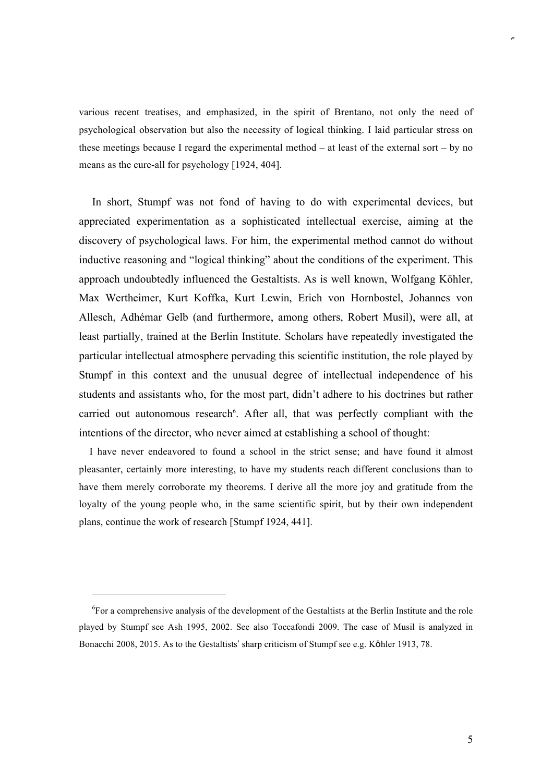various recent treatises, and emphasized, in the spirit of Brentano, not only the need of psychological observation but also the necessity of logical thinking. I laid particular stress on these meetings because I regard the experimental method – at least of the external sort – by no means as the cure-all for psychology [1924, 404].

In short, Stumpf was not fond of having to do with experimental devices, but appreciated experimentation as a sophisticated intellectual exercise, aiming at the discovery of psychological laws. For him, the experimental method cannot do without inductive reasoning and "logical thinking" about the conditions of the experiment. This approach undoubtedly influenced the Gestaltists. As is well known, Wolfgang Köhler, Max Wertheimer, Kurt Koffka, Kurt Lewin, Erich von Hornbostel, Johannes von Allesch, Adhémar Gelb (and furthermore, among others, Robert Musil), were all, at least partially, trained at the Berlin Institute. Scholars have repeatedly investigated the particular intellectual atmosphere pervading this scientific institution, the role played by Stumpf in this context and the unusual degree of intellectual independence of his students and assistants who, for the most part, didn't adhere to his doctrines but rather carried out autonomous research<sup>6</sup>. After all, that was perfectly compliant with the intentions of the director, who never aimed at establishing a school of thought:

I have never endeavored to found a school in the strict sense; and have found it almost pleasanter, certainly more interesting, to have my students reach different conclusions than to have them merely corroborate my theorems. I derive all the more joy and gratitude from the loyalty of the young people who, in the same scientific spirit, but by their own independent plans, continue the work of research [Stumpf 1924, 441].

 $\overline{a}$ 

 $\overline{a}$ 

<sup>&</sup>lt;sup>6</sup>For a comprehensive analysis of the development of the Gestaltists at the Berlin Institute and the role played by Stumpf see Ash 1995, 2002. See also Toccafondi 2009. The case of Musil is analyzed in Bonacchi 2008, 2015. As to the Gestaltists' sharp criticism of Stumpf see e.g. Köhler 1913, 78.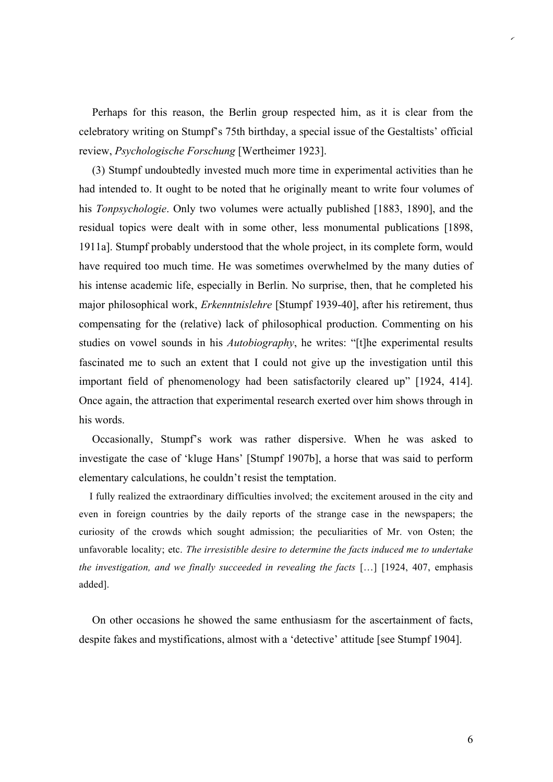Perhaps for this reason, the Berlin group respected him, as it is clear from the celebratory writing on Stumpf's 75th birthday, a special issue of the Gestaltists' official review, *Psychologische Forschung* [Wertheimer 1923].

(3) Stumpf undoubtedly invested much more time in experimental activities than he had intended to. It ought to be noted that he originally meant to write four volumes of his *Tonpsychologie*. Only two volumes were actually published [1883, 1890], and the residual topics were dealt with in some other, less monumental publications [1898, 1911a]. Stumpf probably understood that the whole project, in its complete form, would have required too much time. He was sometimes overwhelmed by the many duties of his intense academic life, especially in Berlin. No surprise, then, that he completed his major philosophical work, *Erkenntnislehre* [Stumpf 1939-40], after his retirement, thus compensating for the (relative) lack of philosophical production. Commenting on his studies on vowel sounds in his *Autobiography*, he writes: "[t]he experimental results fascinated me to such an extent that I could not give up the investigation until this important field of phenomenology had been satisfactorily cleared up" [1924, 414]. Once again, the attraction that experimental research exerted over him shows through in his words.

Occasionally, Stumpf's work was rather dispersive. When he was asked to investigate the case of 'kluge Hans' [Stumpf 1907b], a horse that was said to perform elementary calculations, he couldn't resist the temptation.

I fully realized the extraordinary difficulties involved; the excitement aroused in the city and even in foreign countries by the daily reports of the strange case in the newspapers; the curiosity of the crowds which sought admission; the peculiarities of Mr. von Osten; the unfavorable locality; etc. *The irresistible desire to determine the facts induced me to undertake the investigation, and we finally succeeded in revealing the facts* […] [1924, 407, emphasis added].

On other occasions he showed the same enthusiasm for the ascertainment of facts, despite fakes and mystifications, almost with a 'detective' attitude [see Stumpf 1904].

 $\overline{\phantom{a}}$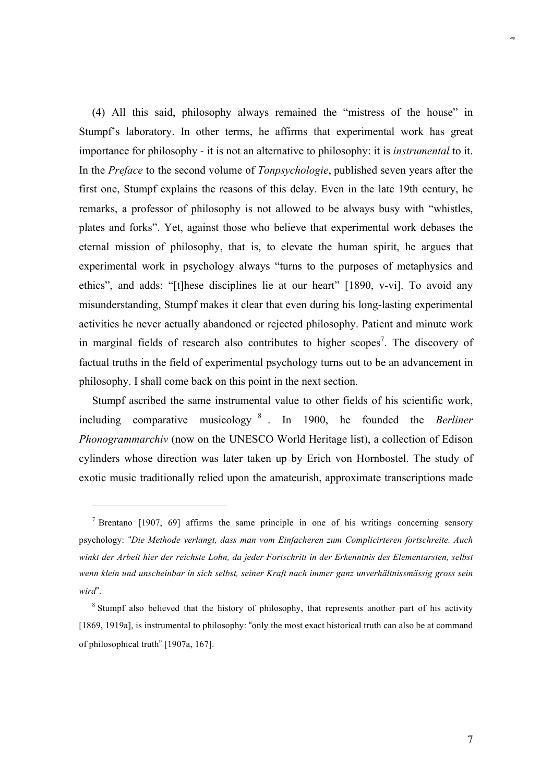(4) All this said, philosophy always remained the "mistress of the house" in Stumpf's laboratory. In other terms, he affirms that experimental work has great importance for philosophy - it is not an alternative to philosophy: it is *instrumental* to it. In the *Preface* to the second volume of *Tonpsychologie*, published seven years after the first one, Stumpf explains the reasons of this delay. Even in the late 19th century, he remarks, a professor of philosophy is not allowed to be always busy with "whistles, plates and forks". Yet, against those who believe that experimental work debases the eternal mission of philosophy, that is, to elevate the human spirit, he argues that experimental work in psychology always "turns to the purposes of metaphysics and ethics", and adds: "[t]hese disciplines lie at our heart" [1890, v-vi]. To avoid any misunderstanding, Stumpf makes it clear that even during his long-lasting experimental activities he never actually abandoned or rejected philosophy. Patient and minute work in marginal fields of research also contributes to higher scopes<sup>7</sup>. The discovery of factual truths in the field of experimental psychology turns out to be an advancement in philosophy. I shall come back on this point in the next section.

Stumpf ascribed the same instrumental value to other fields of his scientific work, including comparative musicology <sup>8</sup> . In 1900, he founded the *Berliner Phonogrammarchiv* (now on the UNESCO World Heritage list), a collection of Edison cylinders whose direction was later taken up by Erich von Hornbostel. The study of exotic music traditionally relied upon the amateurish, approximate transcriptions made

 $\overline{a}$ 

 $\overline{a}$ 

 $<sup>7</sup>$  Brentano [1907, 69] affirms the same principle in one of his writings concerning sensory</sup> psychology: "*Die Methode verlangt, dass man vom Einfacheren zum Complicirteren fortschreite. Auch winkt der Arbeit hier der reichste Lohn, da jeder Fortschritt in der Erkenntnis des Elementarsten, selbst wenn klein und unscheinbar in sich selbst, seiner Kraft nach immer ganz unverhältnissmässig gross sein wird*".

<sup>&</sup>lt;sup>8</sup> Stumpf also believed that the history of philosophy, that represents another part of his activity [1869, 1919a], is instrumental to philosophy: "only the most exact historical truth can also be at command of philosophical truth" [1907a, 167].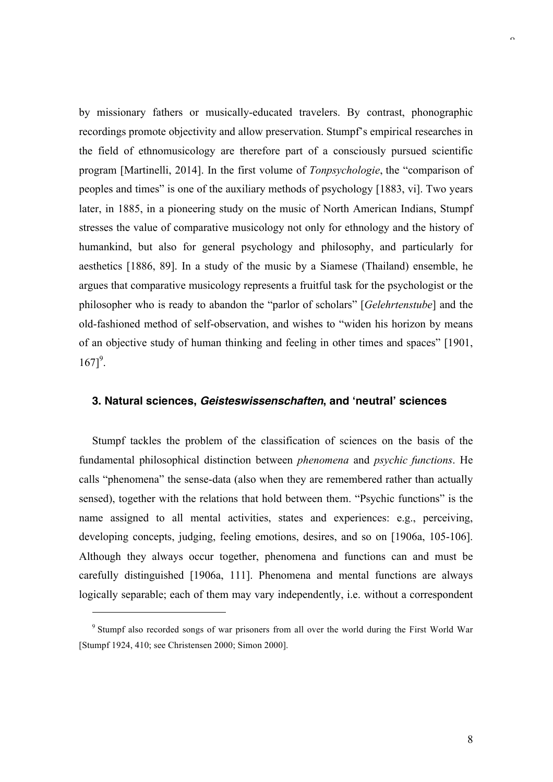by missionary fathers or musically-educated travelers. By contrast, phonographic recordings promote objectivity and allow preservation. Stumpf's empirical researches in the field of ethnomusicology are therefore part of a consciously pursued scientific program [Martinelli, 2014]. In the first volume of *Tonpsychologie*, the "comparison of peoples and times" is one of the auxiliary methods of psychology [1883, vi]. Two years later, in 1885, in a pioneering study on the music of North American Indians, Stumpf stresses the value of comparative musicology not only for ethnology and the history of humankind, but also for general psychology and philosophy, and particularly for aesthetics [1886, 89]. In a study of the music by a Siamese (Thailand) ensemble, he argues that comparative musicology represents a fruitful task for the psychologist or the philosopher who is ready to abandon the "parlor of scholars" [*Gelehrtenstube*] and the old-fashioned method of self-observation, and wishes to "widen his horizon by means of an objective study of human thinking and feeling in other times and spaces" [1901,  $167$ ]<sup>9</sup>.

## **3. Natural sciences,** *Geisteswissenschaften***, and 'neutral' sciences**

Stumpf tackles the problem of the classification of sciences on the basis of the fundamental philosophical distinction between *phenomena* and *psychic functions*. He calls "phenomena" the sense-data (also when they are remembered rather than actually sensed), together with the relations that hold between them. "Psychic functions" is the name assigned to all mental activities, states and experiences: e.g., perceiving, developing concepts, judging, feeling emotions, desires, and so on [1906a, 105-106]. Although they always occur together, phenomena and functions can and must be carefully distinguished [1906a, 111]. Phenomena and mental functions are always logically separable; each of them may vary independently, i.e. without a correspondent

 $\overline{a}$ 

 $\overline{a}$ 

<sup>&</sup>lt;sup>9</sup> Stumpf also recorded songs of war prisoners from all over the world during the First World War [Stumpf 1924, 410; see Christensen 2000; Simon 2000].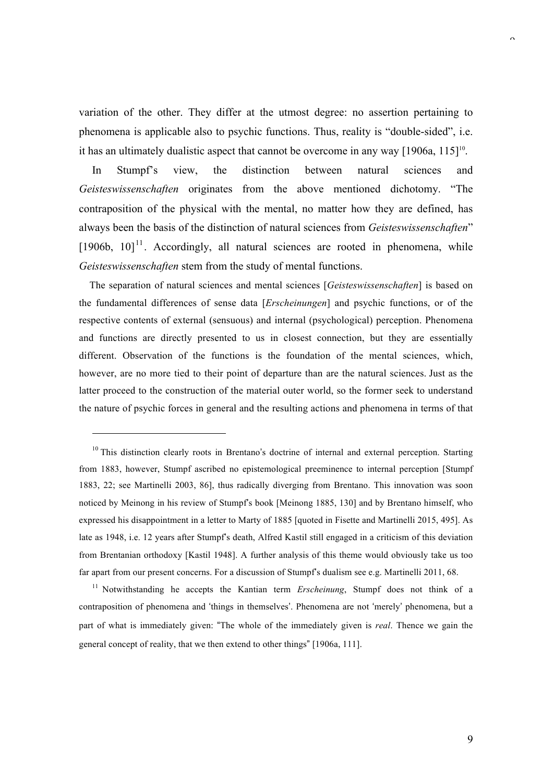variation of the other. They differ at the utmost degree: no assertion pertaining to phenomena is applicable also to psychic functions. Thus, reality is "double-sided", i.e. it has an ultimately dualistic aspect that cannot be overcome in any way  $[1906a, 115]^{10}$ .

In Stumpf's view, the distinction between natural sciences and *Geisteswissenschaften* originates from the above mentioned dichotomy. "The contraposition of the physical with the mental, no matter how they are defined, has always been the basis of the distinction of natural sciences from *Geisteswissenschaften*"  $[1906b, 10]$ <sup>11</sup>. Accordingly, all natural sciences are rooted in phenomena, while *Geisteswissenschaften* stem from the study of mental functions.

The separation of natural sciences and mental sciences [*Geisteswissenschaften*] is based on the fundamental differences of sense data [*Erscheinungen*] and psychic functions, or of the respective contents of external (sensuous) and internal (psychological) perception. Phenomena and functions are directly presented to us in closest connection, but they are essentially different. Observation of the functions is the foundation of the mental sciences, which, however, are no more tied to their point of departure than are the natural sciences. Just as the latter proceed to the construction of the material outer world, so the former seek to understand the nature of psychic forces in general and the resulting actions and phenomena in terms of that

 $\overline{a}$ 

<sup>11</sup> Notwithstanding he accepts the Kantian term *Erscheinung*, Stumpf does not think of a contraposition of phenomena and 'things in themselves'. Phenomena are not 'merely' phenomena, but a part of what is immediately given: "The whole of the immediately given is *real*. Thence we gain the general concept of reality, that we then extend to other things" [1906a, 111].

 $\overline{ }$ 

<sup>&</sup>lt;sup>10</sup> This distinction clearly roots in Brentano's doctrine of internal and external perception. Starting from 1883, however, Stumpf ascribed no epistemological preeminence to internal perception [Stumpf 1883, 22; see Martinelli 2003, 86], thus radically diverging from Brentano. This innovation was soon noticed by Meinong in his review of Stumpf's book [Meinong 1885, 130] and by Brentano himself, who expressed his disappointment in a letter to Marty of 1885 [quoted in Fisette and Martinelli 2015, 495]. As late as 1948, i.e. 12 years after Stumpf's death, Alfred Kastil still engaged in a criticism of this deviation from Brentanian orthodoxy [Kastil 1948]. A further analysis of this theme would obviously take us too far apart from our present concerns. For a discussion of Stumpf's dualism see e.g. Martinelli 2011, 68.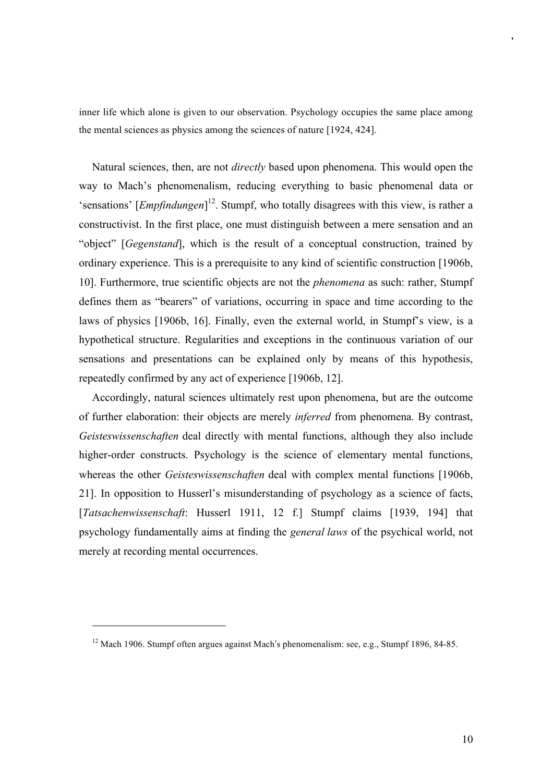inner life which alone is given to our observation. Psychology occupies the same place among the mental sciences as physics among the sciences of nature [1924, 424].

Natural sciences, then, are not *directly* based upon phenomena. This would open the way to Mach's phenomenalism, reducing everything to basic phenomenal data or 'sensations' [*Empfindungen*]<sup>12</sup>. Stumpf, who totally disagrees with this view, is rather a constructivist. In the first place, one must distinguish between a mere sensation and an "object" [*Gegenstand*], which is the result of a conceptual construction, trained by ordinary experience. This is a prerequisite to any kind of scientific construction [1906b, 10]. Furthermore, true scientific objects are not the *phenomena* as such: rather, Stumpf defines them as "bearers" of variations, occurring in space and time according to the laws of physics [1906b, 16]. Finally, even the external world, in Stumpf's view, is a hypothetical structure. Regularities and exceptions in the continuous variation of our sensations and presentations can be explained only by means of this hypothesis, repeatedly confirmed by any act of experience [1906b, 12].

Accordingly, natural sciences ultimately rest upon phenomena, but are the outcome of further elaboration: their objects are merely *inferred* from phenomena. By contrast, *Geisteswissenschaften* deal directly with mental functions, although they also include higher-order constructs. Psychology is the science of elementary mental functions, whereas the other *Geisteswissenschaften* deal with complex mental functions [1906b, 21]. In opposition to Husserl's misunderstanding of psychology as a science of facts, [*Tatsachenwissenschaft*: Husserl 1911, 12 f.] Stumpf claims [1939, 194] that psychology fundamentally aims at finding the *general laws* of the psychical world, not merely at recording mental occurrences.

 $\overline{a}$ 

<sup>&</sup>lt;sup>12</sup> Mach 1906. Stumpf often argues against Mach's phenomenalism: see, e.g., Stumpf 1896, 84-85.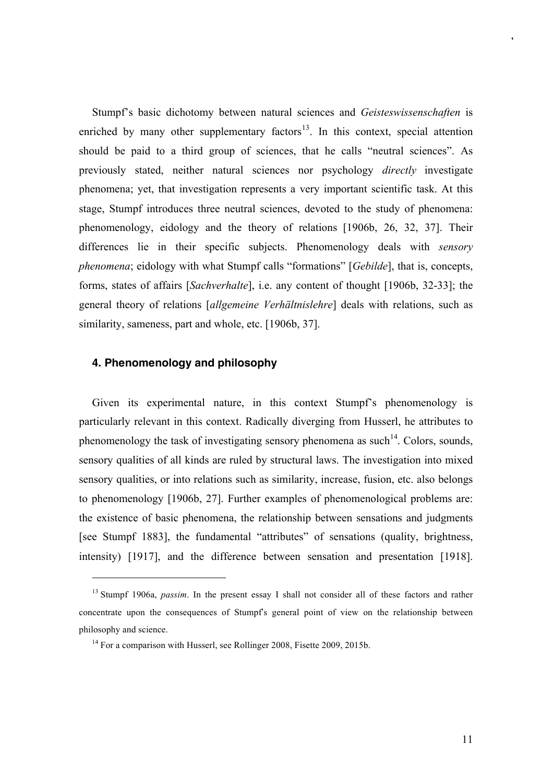Stumpf's basic dichotomy between natural sciences and *Geisteswissenschaften* is enriched by many other supplementary factors<sup>13</sup>. In this context, special attention should be paid to a third group of sciences, that he calls "neutral sciences". As previously stated, neither natural sciences nor psychology *directly* investigate phenomena; yet, that investigation represents a very important scientific task. At this stage, Stumpf introduces three neutral sciences, devoted to the study of phenomena: phenomenology, eidology and the theory of relations [1906b, 26, 32, 37]. Their differences lie in their specific subjects. Phenomenology deals with *sensory phenomena*; eidology with what Stumpf calls "formations" [*Gebilde*], that is, concepts, forms, states of affairs [*Sachverhalte*], i.e. any content of thought [1906b, 32-33]; the general theory of relations [*allgemeine Verhältnislehre*] deals with relations, such as similarity, sameness, part and whole, etc. [1906b, 37].

## **4. Phenomenology and philosophy**

 $\overline{a}$ 

Given its experimental nature, in this context Stumpf's phenomenology is particularly relevant in this context. Radically diverging from Husserl, he attributes to phenomenology the task of investigating sensory phenomena as such  $14$ . Colors, sounds, sensory qualities of all kinds are ruled by structural laws. The investigation into mixed sensory qualities, or into relations such as similarity, increase, fusion, etc. also belongs to phenomenology [1906b, 27]. Further examples of phenomenological problems are: the existence of basic phenomena, the relationship between sensations and judgments [see Stumpf 1883], the fundamental "attributes" of sensations (quality, brightness, intensity) [1917], and the difference between sensation and presentation [1918].

<sup>13</sup> Stumpf 1906a, *passim*. In the present essay I shall not consider all of these factors and rather concentrate upon the consequences of Stumpf's general point of view on the relationship between philosophy and science.

<sup>&</sup>lt;sup>14</sup> For a comparison with Husserl, see Rollinger 2008, Fisette 2009, 2015b.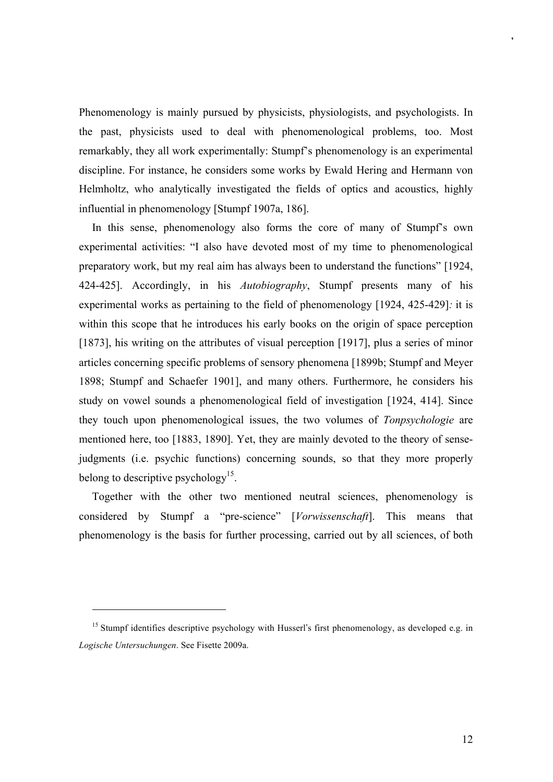Phenomenology is mainly pursued by physicists, physiologists, and psychologists. In the past, physicists used to deal with phenomenological problems, too. Most remarkably, they all work experimentally: Stumpf's phenomenology is an experimental discipline. For instance, he considers some works by Ewald Hering and Hermann von Helmholtz, who analytically investigated the fields of optics and acoustics, highly influential in phenomenology [Stumpf 1907a, 186].

In this sense, phenomenology also forms the core of many of Stumpf's own experimental activities: "I also have devoted most of my time to phenomenological preparatory work, but my real aim has always been to understand the functions" [1924, 424-425]. Accordingly, in his *Autobiography*, Stumpf presents many of his experimental works as pertaining to the field of phenomenology [1924, 425-429]*:* it is within this scope that he introduces his early books on the origin of space perception [1873], his writing on the attributes of visual perception [1917], plus a series of minor articles concerning specific problems of sensory phenomena [1899b; Stumpf and Meyer 1898; Stumpf and Schaefer 1901], and many others. Furthermore, he considers his study on vowel sounds a phenomenological field of investigation [1924, 414]. Since they touch upon phenomenological issues, the two volumes of *Tonpsychologie* are mentioned here, too [1883, 1890]. Yet, they are mainly devoted to the theory of sensejudgments (i.e. psychic functions) concerning sounds, so that they more properly belong to descriptive psychology<sup>15</sup>.

Together with the other two mentioned neutral sciences, phenomenology is considered by Stumpf a "pre-science" [*Vorwissenschaft*]. This means that phenomenology is the basis for further processing, carried out by all sciences, of both

 $\overline{a}$ 

 $15$  Stumpf identifies descriptive psychology with Husserl's first phenomenology, as developed e.g. in *Logische Untersuchungen*. See Fisette 2009a.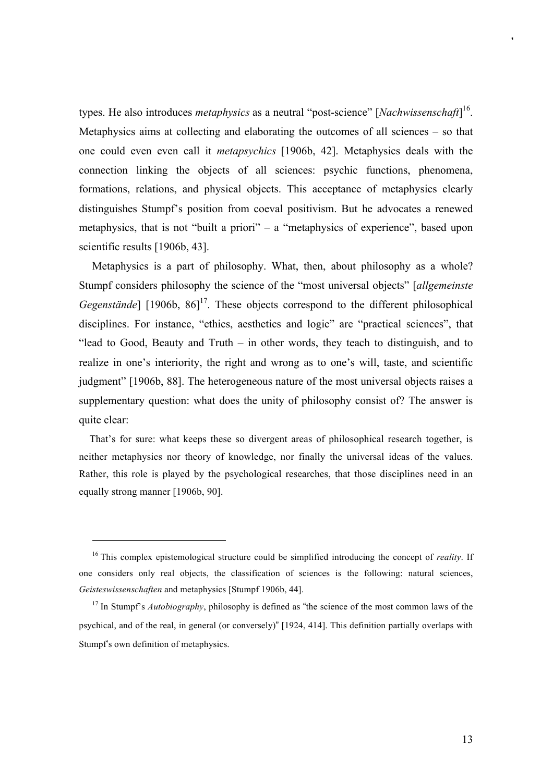types. He also introduces *metaphysics* as a neutral "post-science" [*Nachwissenschaft*] 16. Metaphysics aims at collecting and elaborating the outcomes of all sciences – so that one could even even call it *metapsychics* [1906b, 42]. Metaphysics deals with the connection linking the objects of all sciences: psychic functions, phenomena, formations, relations, and physical objects. This acceptance of metaphysics clearly distinguishes Stumpf's position from coeval positivism. But he advocates a renewed metaphysics, that is not "built a priori" – a "metaphysics of experience", based upon scientific results [1906b, 43].

Metaphysics is a part of philosophy. What, then, about philosophy as a whole? Stumpf considers philosophy the science of the "most universal objects" [*allgemeinste Gegenstände*] [1906b, 86]<sup>17</sup>. These objects correspond to the different philosophical disciplines. For instance, "ethics, aesthetics and logic" are "practical sciences", that "lead to Good, Beauty and Truth – in other words, they teach to distinguish, and to realize in one's interiority, the right and wrong as to one's will, taste, and scientific judgment" [1906b, 88]. The heterogeneous nature of the most universal objects raises a supplementary question: what does the unity of philosophy consist of? The answer is quite clear:

That's for sure: what keeps these so divergent areas of philosophical research together, is neither metaphysics nor theory of knowledge, nor finally the universal ideas of the values. Rather, this role is played by the psychological researches, that those disciplines need in an equally strong manner [1906b, 90].

 $\overline{a}$ 

<sup>16</sup> This complex epistemological structure could be simplified introducing the concept of *reality*. If one considers only real objects, the classification of sciences is the following: natural sciences, *Geisteswissenschaften* and metaphysics [Stumpf 1906b, 44].

<sup>&</sup>lt;sup>17</sup> In Stumpf's *Autobiography*, philosophy is defined as "the science of the most common laws of the psychical, and of the real, in general (or conversely)" [1924, 414]. This definition partially overlaps with Stumpf's own definition of metaphysics.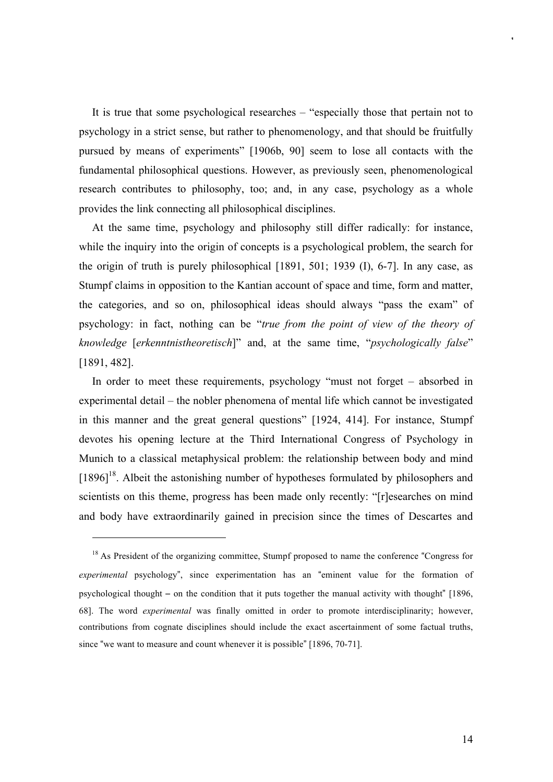It is true that some psychological researches – "especially those that pertain not to psychology in a strict sense, but rather to phenomenology, and that should be fruitfully pursued by means of experiments" [1906b, 90] seem to lose all contacts with the fundamental philosophical questions. However, as previously seen, phenomenological research contributes to philosophy, too; and, in any case, psychology as a whole provides the link connecting all philosophical disciplines.

At the same time, psychology and philosophy still differ radically: for instance, while the inquiry into the origin of concepts is a psychological problem, the search for the origin of truth is purely philosophical [1891, 501; 1939 (I), 6-7]. In any case, as Stumpf claims in opposition to the Kantian account of space and time, form and matter, the categories, and so on, philosophical ideas should always "pass the exam" of psychology: in fact, nothing can be "*true from the point of view of the theory of knowledge* [*erkenntnistheoretisch*]" and, at the same time, "*psychologically false*" [1891, 482].

In order to meet these requirements, psychology "must not forget – absorbed in experimental detail – the nobler phenomena of mental life which cannot be investigated in this manner and the great general questions" [1924, 414]. For instance, Stumpf devotes his opening lecture at the Third International Congress of Psychology in Munich to a classical metaphysical problem: the relationship between body and mind  $[1896]$ <sup>18</sup>. Albeit the astonishing number of hypotheses formulated by philosophers and scientists on this theme, progress has been made only recently: "[r]esearches on mind and body have extraordinarily gained in precision since the times of Descartes and

 $\overline{a}$ 

<sup>&</sup>lt;sup>18</sup> As President of the organizing committee, Stumpf proposed to name the conference "Congress for *experimental* psychology", since experimentation has an "eminent value for the formation of psychological thought – on the condition that it puts together the manual activity with thought" [1896, 68]. The word *experimental* was finally omitted in order to promote interdisciplinarity; however, contributions from cognate disciplines should include the exact ascertainment of some factual truths, since "we want to measure and count whenever it is possible" [1896, 70-71].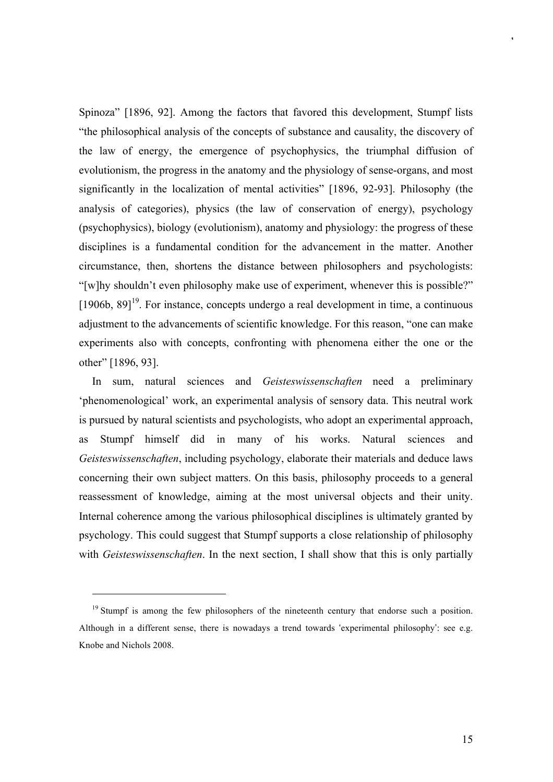Spinoza" [1896, 92]. Among the factors that favored this development, Stumpf lists "the philosophical analysis of the concepts of substance and causality, the discovery of the law of energy, the emergence of psychophysics, the triumphal diffusion of evolutionism, the progress in the anatomy and the physiology of sense-organs, and most significantly in the localization of mental activities" [1896, 92-93]. Philosophy (the analysis of categories), physics (the law of conservation of energy), psychology (psychophysics), biology (evolutionism), anatomy and physiology: the progress of these disciplines is a fundamental condition for the advancement in the matter. Another circumstance, then, shortens the distance between philosophers and psychologists: "[w]hy shouldn't even philosophy make use of experiment, whenever this is possible?"  $[1906b, 89]$ <sup>19</sup>. For instance, concepts undergo a real development in time, a continuous adjustment to the advancements of scientific knowledge. For this reason, "one can make experiments also with concepts, confronting with phenomena either the one or the other" [1896, 93].

In sum, natural sciences and *Geisteswissenschaften* need a preliminary 'phenomenological' work, an experimental analysis of sensory data. This neutral work is pursued by natural scientists and psychologists, who adopt an experimental approach, as Stumpf himself did in many of his works. Natural sciences and *Geisteswissenschaften*, including psychology, elaborate their materials and deduce laws concerning their own subject matters. On this basis, philosophy proceeds to a general reassessment of knowledge, aiming at the most universal objects and their unity. Internal coherence among the various philosophical disciplines is ultimately granted by psychology. This could suggest that Stumpf supports a close relationship of philosophy with *Geisteswissenschaften*. In the next section, I shall show that this is only partially

 $\overline{a}$ 

<sup>&</sup>lt;sup>19</sup> Stumpf is among the few philosophers of the nineteenth century that endorse such a position. Although in a different sense, there is nowadays a trend towards 'experimental philosophy': see e.g. Knobe and Nichols 2008.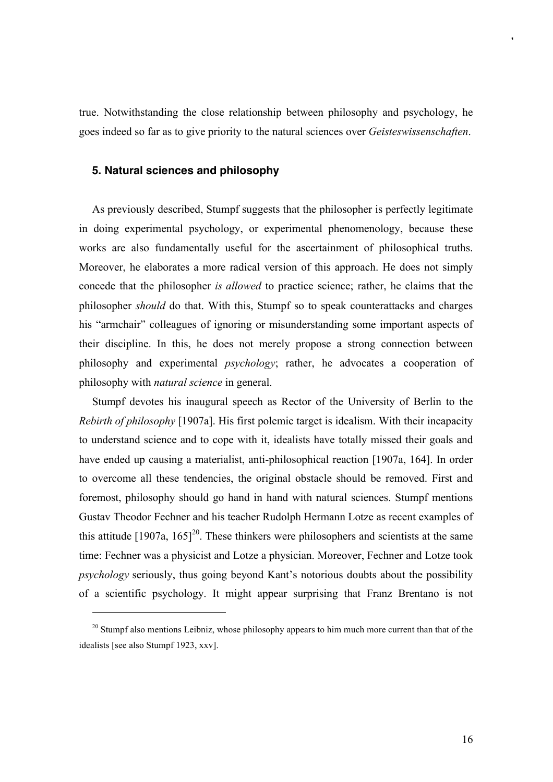true. Notwithstanding the close relationship between philosophy and psychology, he goes indeed so far as to give priority to the natural sciences over *Geisteswissenschaften*.

## **5. Natural sciences and philosophy**

 $\overline{a}$ 

As previously described, Stumpf suggests that the philosopher is perfectly legitimate in doing experimental psychology, or experimental phenomenology, because these works are also fundamentally useful for the ascertainment of philosophical truths. Moreover, he elaborates a more radical version of this approach. He does not simply concede that the philosopher *is allowed* to practice science; rather, he claims that the philosopher *should* do that. With this, Stumpf so to speak counterattacks and charges his "armchair" colleagues of ignoring or misunderstanding some important aspects of their discipline. In this, he does not merely propose a strong connection between philosophy and experimental *psychology*; rather, he advocates a cooperation of philosophy with *natural science* in general.

Stumpf devotes his inaugural speech as Rector of the University of Berlin to the *Rebirth of philosophy* [1907a]. His first polemic target is idealism. With their incapacity to understand science and to cope with it, idealists have totally missed their goals and have ended up causing a materialist, anti-philosophical reaction [1907a, 164]. In order to overcome all these tendencies, the original obstacle should be removed. First and foremost, philosophy should go hand in hand with natural sciences. Stumpf mentions Gustav Theodor Fechner and his teacher Rudolph Hermann Lotze as recent examples of this attitude  $[1907a, 165]^{20}$ . These thinkers were philosophers and scientists at the same time: Fechner was a physicist and Lotze a physician. Moreover, Fechner and Lotze took *psychology* seriously, thus going beyond Kant's notorious doubts about the possibility of a scientific psychology. It might appear surprising that Franz Brentano is not

 $20$  Stumpf also mentions Leibniz, whose philosophy appears to him much more current than that of the idealists [see also Stumpf 1923, xxv].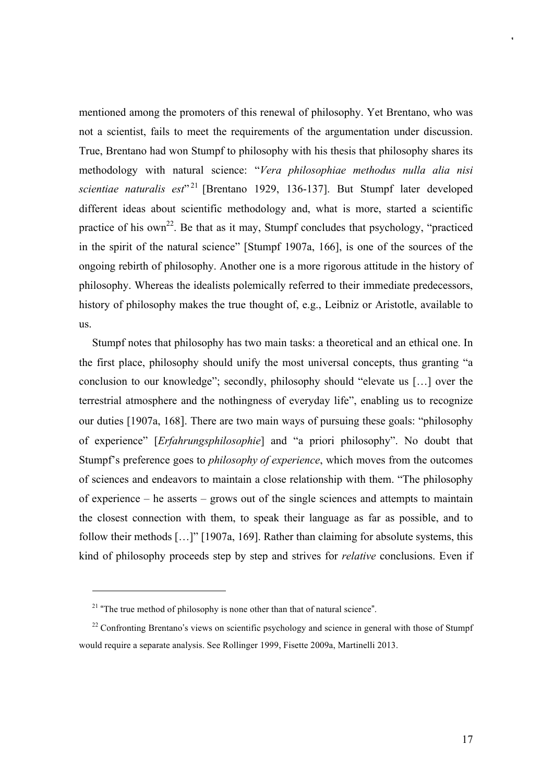mentioned among the promoters of this renewal of philosophy. Yet Brentano, who was not a scientist, fails to meet the requirements of the argumentation under discussion. True, Brentano had won Stumpf to philosophy with his thesis that philosophy shares its methodology with natural science: "*Vera philosophiae methodus nulla alia nisi scientiae naturalis est*<sup>21</sup> [Brentano 1929, 136-137]. But Stumpf later developed different ideas about scientific methodology and, what is more, started a scientific practice of his  $own^{22}$ . Be that as it may, Stumpf concludes that psychology, "practiced in the spirit of the natural science" [Stumpf 1907a, 166], is one of the sources of the ongoing rebirth of philosophy. Another one is a more rigorous attitude in the history of philosophy. Whereas the idealists polemically referred to their immediate predecessors, history of philosophy makes the true thought of, e.g., Leibniz or Aristotle, available to us.

Stumpf notes that philosophy has two main tasks: a theoretical and an ethical one. In the first place, philosophy should unify the most universal concepts, thus granting "a conclusion to our knowledge"; secondly, philosophy should "elevate us […] over the terrestrial atmosphere and the nothingness of everyday life", enabling us to recognize our duties [1907a, 168]. There are two main ways of pursuing these goals: "philosophy of experience" [*Erfahrungsphilosophie*] and "a priori philosophy". No doubt that Stumpf's preference goes to *philosophy of experience*, which moves from the outcomes of sciences and endeavors to maintain a close relationship with them. "The philosophy of experience – he asserts – grows out of the single sciences and attempts to maintain the closest connection with them, to speak their language as far as possible, and to follow their methods […]" [1907a, 169]. Rather than claiming for absolute systems, this kind of philosophy proceeds step by step and strives for *relative* conclusions. Even if

 $\overline{a}$ 

 $21$  "The true method of philosophy is none other than that of natural science".

 $22$  Confronting Brentano's views on scientific psychology and science in general with those of Stumpf would require a separate analysis. See Rollinger 1999, Fisette 2009a, Martinelli 2013.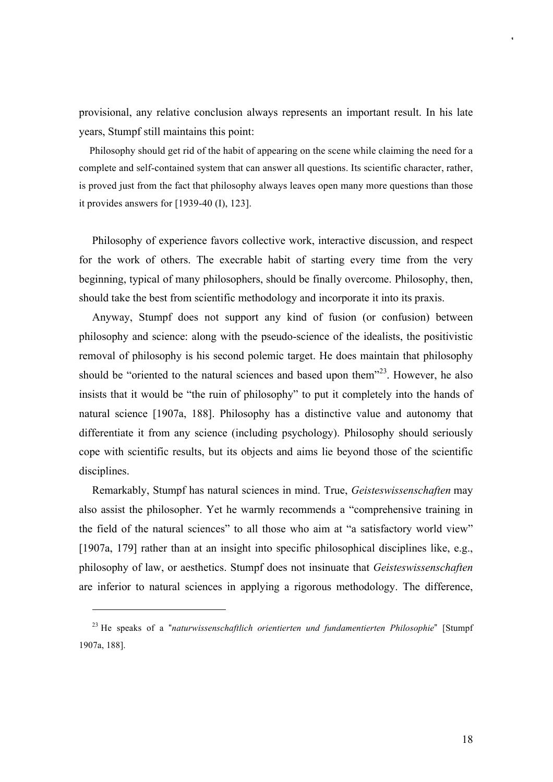provisional, any relative conclusion always represents an important result. In his late years, Stumpf still maintains this point:

Philosophy should get rid of the habit of appearing on the scene while claiming the need for a complete and self-contained system that can answer all questions. Its scientific character, rather, is proved just from the fact that philosophy always leaves open many more questions than those it provides answers for [1939-40 (I), 123].

Philosophy of experience favors collective work, interactive discussion, and respect for the work of others. The execrable habit of starting every time from the very beginning, typical of many philosophers, should be finally overcome. Philosophy, then, should take the best from scientific methodology and incorporate it into its praxis.

Anyway, Stumpf does not support any kind of fusion (or confusion) between philosophy and science: along with the pseudo-science of the idealists, the positivistic removal of philosophy is his second polemic target. He does maintain that philosophy should be "oriented to the natural sciences and based upon them"<sup>23</sup>. However, he also insists that it would be "the ruin of philosophy" to put it completely into the hands of natural science [1907a, 188]. Philosophy has a distinctive value and autonomy that differentiate it from any science (including psychology). Philosophy should seriously cope with scientific results, but its objects and aims lie beyond those of the scientific disciplines.

Remarkably, Stumpf has natural sciences in mind. True, *Geisteswissenschaften* may also assist the philosopher. Yet he warmly recommends a "comprehensive training in the field of the natural sciences" to all those who aim at "a satisfactory world view" [1907a, 179] rather than at an insight into specific philosophical disciplines like, e.g., philosophy of law, or aesthetics. Stumpf does not insinuate that *Geisteswissenschaften* are inferior to natural sciences in applying a rigorous methodology. The difference,

 $\overline{a}$ 

<sup>23</sup> He speaks of a "*naturwissenschaftlich orientierten und fundamentierten Philosophie*" [Stumpf 1907a, 188].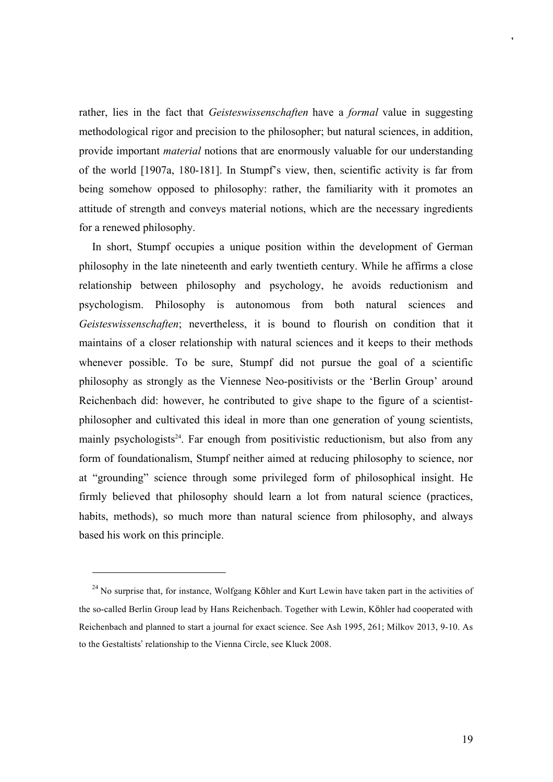rather, lies in the fact that *Geisteswissenschaften* have a *formal* value in suggesting methodological rigor and precision to the philosopher; but natural sciences, in addition, provide important *material* notions that are enormously valuable for our understanding of the world [1907a, 180-181]. In Stumpf's view, then, scientific activity is far from being somehow opposed to philosophy: rather, the familiarity with it promotes an attitude of strength and conveys material notions, which are the necessary ingredients for a renewed philosophy.

In short, Stumpf occupies a unique position within the development of German philosophy in the late nineteenth and early twentieth century. While he affirms a close relationship between philosophy and psychology, he avoids reductionism and psychologism. Philosophy is autonomous from both natural sciences and *Geisteswissenschaften*; nevertheless, it is bound to flourish on condition that it maintains of a closer relationship with natural sciences and it keeps to their methods whenever possible. To be sure, Stumpf did not pursue the goal of a scientific philosophy as strongly as the Viennese Neo-positivists or the 'Berlin Group' around Reichenbach did: however, he contributed to give shape to the figure of a scientistphilosopher and cultivated this ideal in more than one generation of young scientists, mainly psychologists<sup>24</sup>. Far enough from positivistic reductionism, but also from any form of foundationalism, Stumpf neither aimed at reducing philosophy to science, nor at "grounding" science through some privileged form of philosophical insight. He firmly believed that philosophy should learn a lot from natural science (practices, habits, methods), so much more than natural science from philosophy, and always based his work on this principle.

 $\overline{a}$ 

<sup>&</sup>lt;sup>24</sup> No surprise that, for instance, Wolfgang Köhler and Kurt Lewin have taken part in the activities of the so-called Berlin Group lead by Hans Reichenbach. Together with Lewin, Köhler had cooperated with Reichenbach and planned to start a journal for exact science. See Ash 1995, 261; Milkov 2013, 9-10. As to the Gestaltists' relationship to the Vienna Circle, see Kluck 2008.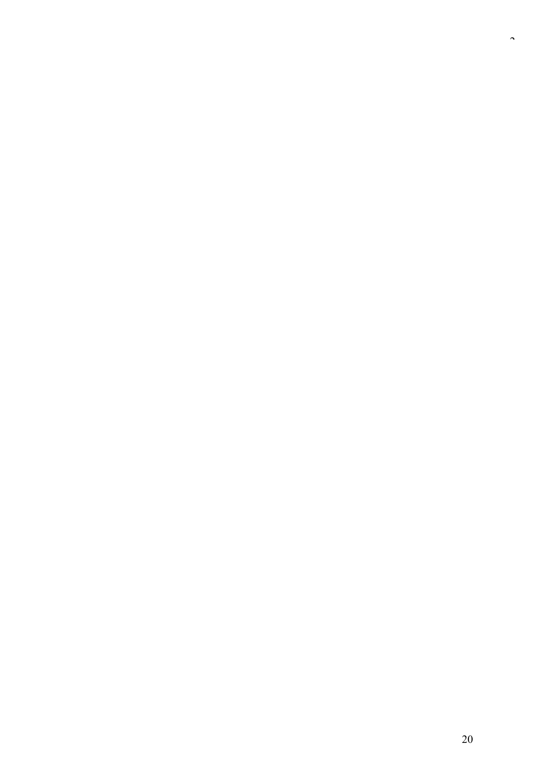20

 $\sim$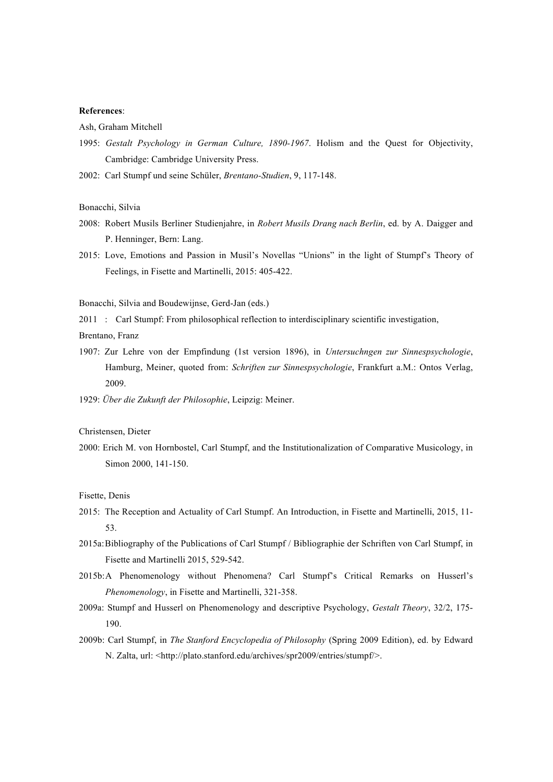#### **References**:

#### Ash, Graham Mitchell

- 1995: *Gestalt Psychology in German Culture, 1890-1967*. Holism and the Quest for Objectivity, Cambridge: Cambridge University Press.
- 2002: Carl Stumpf und seine Schüler, *Brentano-Studien*, 9, 117-148.

Bonacchi, Silvia

- 2008: Robert Musils Berliner Studienjahre, in *Robert Musils Drang nach Berlin*, ed. by A. Daigger and P. Henninger, Bern: Lang.
- 2015: Love, Emotions and Passion in Musil's Novellas "Unions" in the light of Stumpf's Theory of Feelings, in Fisette and Martinelli, 2015: 405-422.

Bonacchi, Silvia and Boudewijnse, Gerd-Jan (eds.)

2011 : Carl Stumpf: From philosophical reflection to interdisciplinary scientific investigation,

Brentano, Franz

- 1907: Zur Lehre von der Empfindung (1st version 1896), in *Untersuchngen zur Sinnespsychologie*, Hamburg, Meiner, quoted from: *Schriften zur Sinnespsychologie*, Frankfurt a.M.: Ontos Verlag, 2009.
- 1929: *Über die Zukunft der Philosophie*, Leipzig: Meiner.

Christensen, Dieter

2000: Erich M. von Hornbostel, Carl Stumpf, and the Institutionalization of Comparative Musicology, in Simon 2000, 141-150.

Fisette, Denis

- 2015: The Reception and Actuality of Carl Stumpf. An Introduction, in Fisette and Martinelli, 2015, 11- 53.
- 2015a:Bibliography of the Publications of Carl Stumpf / Bibliographie der Schriften von Carl Stumpf, in Fisette and Martinelli 2015, 529-542.
- 2015b:A Phenomenology without Phenomena? Carl Stumpf's Critical Remarks on Husserl's *Phenomenology*, in Fisette and Martinelli, 321-358.
- 2009a: Stumpf and Husserl on Phenomenology and descriptive Psychology, *Gestalt Theory*, 32/2, 175- 190.
- 2009b: Carl Stumpf, in *The Stanford Encyclopedia of Philosophy* (Spring 2009 Edition), ed. by Edward N. Zalta, url: <http://plato.stanford.edu/archives/spr2009/entries/stumpf/>.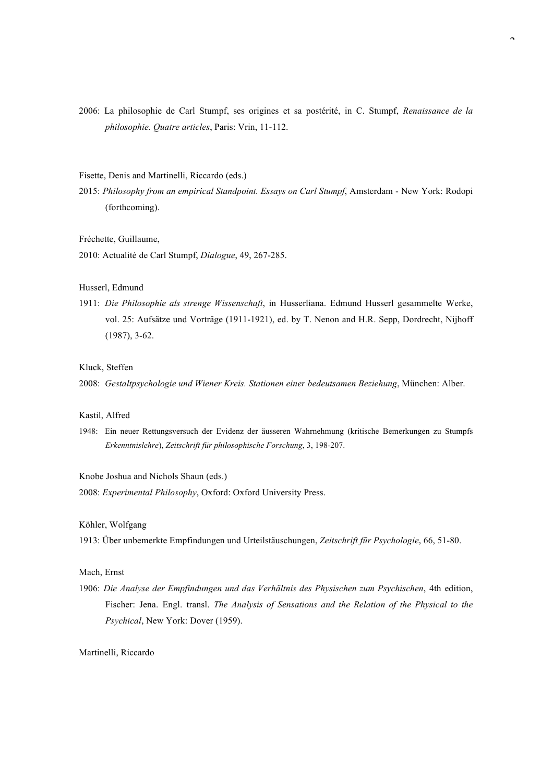2006: La philosophie de Carl Stumpf, ses origines et sa postérité, in C. Stumpf, *Renaissance de la philosophie. Quatre articles*, Paris: Vrin, 11-112.

#### Fisette, Denis and Martinelli, Riccardo (eds.)

2015: *Philosophy from an empirical Standpoint. Essays on Carl Stumpf*, Amsterdam - New York: Rodopi (forthcoming).

### Fréchette, Guillaume,

2010: Actualité de Carl Stumpf, *Dialogue*, 49, 267-285.

#### Husserl, Edmund

1911: *Die Philosophie als strenge Wissenschaft*, in Husserliana. Edmund Husserl gesammelte Werke, vol. 25: Aufsätze und Vorträge (1911-1921), ed. by T. Nenon and H.R. Sepp, Dordrecht, Nijhoff (1987), 3-62.

#### Kluck, Steffen

2008: *Gestaltpsychologie und Wiener Kreis. Stationen einer bedeutsamen Beziehung*, München: Alber.

#### Kastil, Alfred

1948: Ein neuer Rettungsversuch der Evidenz der äusseren Wahrnehmung (kritische Bemerkungen zu Stumpfs *Erkenntnislehre*), *Zeitschrift für philosophische Forschung*, 3, 198-207.

#### Knobe Joshua and Nichols Shaun (eds.)

2008: *Experimental Philosophy*, Oxford: Oxford University Press.

## Köhler, Wolfgang

1913: Über unbemerkte Empfindungen und Urteilstäuschungen, *Zeitschrift für Psychologie*, 66, 51-80.

#### Mach, Ernst

1906: *Die Analyse der Empfindungen und das Verhältnis des Physischen zum Psychischen*, 4th edition, Fischer: Jena. Engl. transl. *The Analysis of Sensations and the Relation of the Physical to the Psychical*, New York: Dover (1959).

Martinelli, Riccardo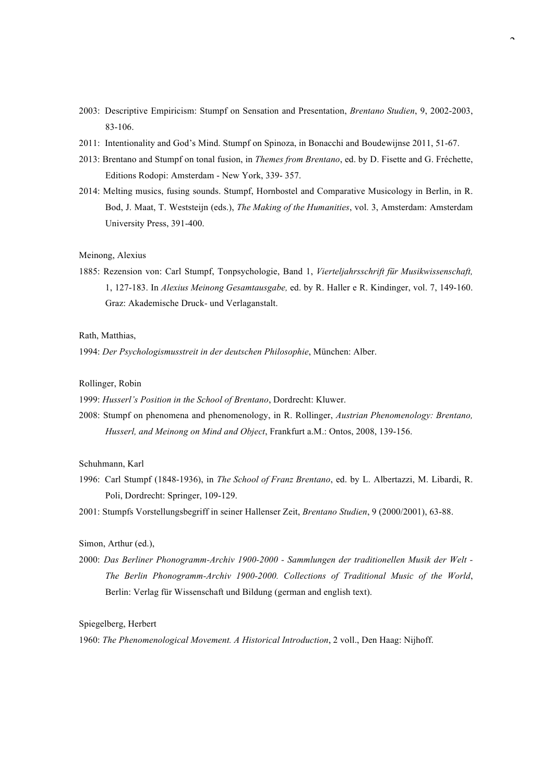2003: Descriptive Empiricism: Stumpf on Sensation and Presentation, *Brentano Studien*, 9, 2002-2003, 83-106.

 $\overline{\phantom{0}}$ 

- 2011: Intentionality and God's Mind. Stumpf on Spinoza, in Bonacchi and Boudewijnse 2011, 51-67.
- 2013: Brentano and Stumpf on tonal fusion, in *Themes from Brentano*, ed. by D. Fisette and G. Fréchette, Editions Rodopi: Amsterdam - New York, 339- 357.
- 2014: Melting musics, fusing sounds. Stumpf, Hornbostel and Comparative Musicology in Berlin, in R. Bod, J. Maat, T. Weststeijn (eds.), *The Making of the Humanities*, vol. 3, Amsterdam: Amsterdam University Press, 391-400.

#### Meinong, Alexius

1885: Rezension von: Carl Stumpf, Tonpsychologie, Band 1, *Vierteljahrsschrift für Musikwissenschaft,* 1, 127-183. In *Alexius Meinong Gesamtausgabe,* ed. by R. Haller e R. Kindinger, vol. 7, 149-160. Graz: Akademische Druck- und Verlaganstalt.

#### Rath, Matthias,

1994: *Der Psychologismusstreit in der deutschen Philosophie*, München: Alber.

### Rollinger, Robin

- 1999: *Husserl's Position in the School of Brentano*, Dordrecht: Kluwer.
- 2008: Stumpf on phenomena and phenomenology, in R. Rollinger, *Austrian Phenomenology: Brentano, Husserl, and Meinong on Mind and Object*, Frankfurt a.M.: Ontos, 2008, 139-156.

#### Schuhmann, Karl

1996: Carl Stumpf (1848-1936), in *The School of Franz Brentano*, ed. by L. Albertazzi, M. Libardi, R. Poli, Dordrecht: Springer, 109-129.

2001: Stumpfs Vorstellungsbegriff in seiner Hallenser Zeit, *Brentano Studien*, 9 (2000/2001), 63-88.

### Simon, Arthur (ed.),

2000: *Das Berliner Phonogramm-Archiv 1900-2000 - Sammlungen der traditionellen Musik der Welt - The Berlin Phonogramm-Archiv 1900-2000. Collections of Traditional Music of the World*, Berlin: Verlag für Wissenschaft und Bildung (german and english text).

## Spiegelberg, Herbert

1960: *The Phenomenological Movement. A Historical Introduction*, 2 voll., Den Haag: Nijhoff.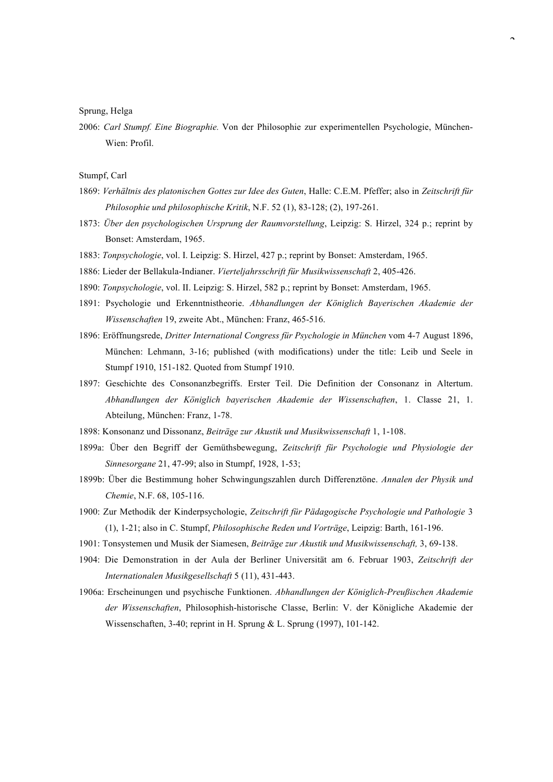Sprung, Helga

2006: *Carl Stumpf. Eine Biographie.* Von der Philosophie zur experimentellen Psychologie, München-Wien: Profil.

 $\overline{\phantom{0}}$ 

Stumpf, Carl

- 1869: *Verhältnis des platonischen Gottes zur Idee des Guten*, Halle: C.E.M. Pfeffer; also in *Zeitschrift für Philosophie und philosophische Kritik*, N.F. 52 (1), 83-128; (2), 197-261.
- 1873: *Über den psychologischen Ursprung der Raumvorstellung*, Leipzig: S. Hirzel, 324 p.; reprint by Bonset: Amsterdam, 1965.
- 1883: *Tonpsychologie*, vol. I. Leipzig: S. Hirzel, 427 p.; reprint by Bonset: Amsterdam, 1965.
- 1886: Lieder der Bellakula-Indianer. *Vierteljahrsschrift für Musikwissenschaft* 2, 405-426.
- 1890: *Tonpsychologie*, vol. II. Leipzig: S. Hirzel, 582 p.; reprint by Bonset: Amsterdam, 1965.
- 1891: Psychologie und Erkenntnistheorie. *Abhandlungen der Königlich Bayerischen Akademie der Wissenschaften* 19, zweite Abt., München: Franz, 465-516.
- 1896: Eröffnungsrede, *Dritter International Congress für Psychologie in München* vom 4-7 August 1896, München: Lehmann, 3-16; published (with modifications) under the title: Leib und Seele in Stumpf 1910, 151-182. Quoted from Stumpf 1910.
- 1897: Geschichte des Consonanzbegriffs. Erster Teil. Die Definition der Consonanz in Altertum. *Abhandlungen der Königlich bayerischen Akademie der Wissenschaften*, 1. Classe 21, 1. Abteilung, München: Franz, 1-78.
- 1898: Konsonanz und Dissonanz, *Beiträge zur Akustik und Musikwissenschaft* 1, 1-108.
- 1899a: Über den Begriff der Gemüthsbewegung, *Zeitschrift für Psychologie und Physiologie der Sinnesorgane* 21, 47-99; also in Stumpf, 1928, 1-53;
- 1899b: Über die Bestimmung hoher Schwingungszahlen durch Differenztöne. *Annalen der Physik und Chemie*, N.F. 68, 105-116.
- 1900: Zur Methodik der Kinderpsychologie, *Zeitschrift für Pädagogische Psychologie und Pathologie* 3 (1), 1-21; also in C. Stumpf, *Philosophische Reden und Vorträge*, Leipzig: Barth, 161-196.
- 1901: Tonsystemen und Musik der Siamesen, *Beiträge zur Akustik und Musikwissenschaft,* 3, 69-138.
- 1904: Die Demonstration in der Aula der Berliner Universität am 6. Februar 1903, *Zeitschrift der Internationalen Musikgesellschaft* 5 (11), 431-443.
- 1906a: Erscheinungen und psychische Funktionen. *Abhandlungen der Königlich-Preußischen Akademie der Wissenschaften*, Philosophish-historische Classe, Berlin: V. der Königliche Akademie der Wissenschaften, 3-40; reprint in H. Sprung & L. Sprung (1997), 101-142.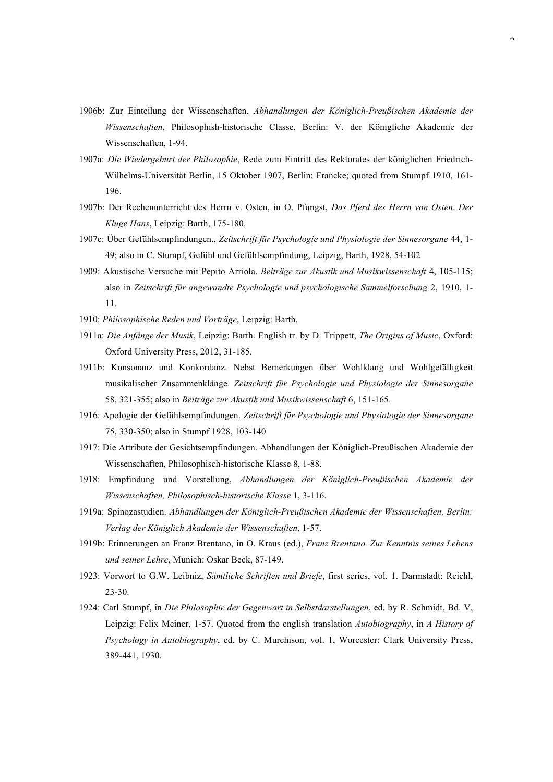- 1906b: Zur Einteilung der Wissenschaften. *Abhandlungen der Königlich-Preußischen Akademie der Wissenschaften*, Philosophish-historische Classe, Berlin: V. der Königliche Akademie der Wissenschaften, 1-94.
- 1907a: *Die Wiedergeburt der Philosophie*, Rede zum Eintritt des Rektorates der königlichen Friedrich-Wilhelms-Universität Berlin, 15 Oktober 1907, Berlin: Francke; quoted from Stumpf 1910, 161- 196.
- 1907b: Der Rechenunterricht des Herrn v. Osten, in O. Pfungst, *Das Pferd des Herrn von Osten. Der Kluge Hans*, Leipzig: Barth, 175-180.
- 1907c: Über Gefühlsempfindungen., *Zeitschrift für Psychologie und Physiologie der Sinnesorgane* 44, 1- 49; also in C. Stumpf, Gefühl und Gefühlsempfindung, Leipzig, Barth, 1928, 54-102
- 1909: Akustische Versuche mit Pepito Arriola. *Beiträge zur Akustik und Musikwissenschaft* 4, 105-115; also in *Zeitschrift für angewandte Psychologie und psychologische Sammelforschung* 2, 1910, 1- 11.
- 1910: *Philosophische Reden und Vorträge*, Leipzig: Barth.
- 1911a: *Die Anfänge der Musik*, Leipzig: Barth. English tr. by D. Trippett, *The Origins of Music*, Oxford: Oxford University Press, 2012, 31-185.
- 1911b: Konsonanz und Konkordanz. Nebst Bemerkungen über Wohlklang und Wohlgefälligkeit musikalischer Zusammenklänge. *Zeitschrift für Psychologie und Physiologie der Sinnesorgane* 58, 321-355; also in *Beiträge zur Akustik und Musikwissenschaft* 6, 151-165.
- 1916: Apologie der Gefühlsempfindungen. *Zeitschrift für Psychologie und Physiologie der Sinnesorgane* 75, 330-350; also in Stumpf 1928, 103-140
- 1917: Die Attribute der Gesichtsempfindungen. Abhandlungen der Königlich-Preußischen Akademie der Wissenschaften, Philosophisch-historische Klasse 8, 1-88.
- 1918: Empfindung und Vorstellung, *Abhandlungen der Königlich-Preußischen Akademie der Wissenschaften, Philosophisch-historische Klasse* 1, 3-116.
- 1919a: Spinozastudien. *Abhandlungen der Königlich-Preußischen Akademie der Wissenschaften, Berlin: Verlag der Königlich Akademie der Wissenschaften*, 1-57.
- 1919b: Erinnerungen an Franz Brentano, in O. Kraus (ed.), *Franz Brentano. Zur Kenntnis seines Lebens und seiner Lehre*, Munich: Oskar Beck, 87-149.
- 1923: Vorwort to G.W. Leibniz, *Sämtliche Schriften und Briefe*, first series, vol. 1. Darmstadt: Reichl, 23-30.
- 1924: Carl Stumpf, in *Die Philosophie der Gegenwart in Selbstdarstellungen*, ed. by R. Schmidt, Bd. V, Leipzig: Felix Meiner, 1-57. Quoted from the english translation *Autobiography*, in *A History of Psychology in Autobiography*, ed. by C. Murchison, vol. 1, Worcester: Clark University Press, 389-441, 1930.